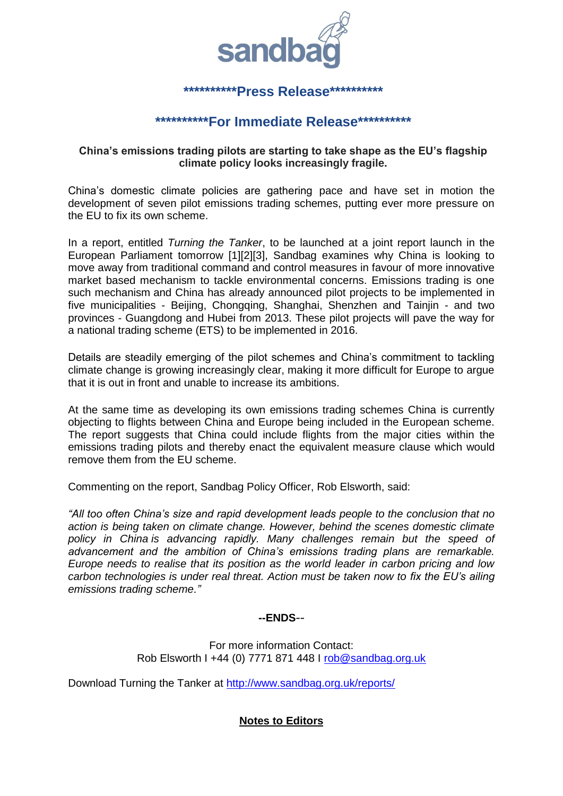

## **\*\*\*\*\*\*\*\*\*\*Press Release\*\*\*\*\*\*\*\*\*\***

# **\*\*\*\*\*\*\*\*\*\*For Immediate Release\*\*\*\*\*\*\*\*\*\***

### **China's emissions trading pilots are starting to take shape as the EU's flagship climate policy looks increasingly fragile.**

China's domestic climate policies are gathering pace and have set in motion the development of seven pilot emissions trading schemes, putting ever more pressure on the EU to fix its own scheme.

In a report, entitled *Turning the Tanker*, to be launched at a joint report launch in the European Parliament tomorrow [1][2][3], Sandbag examines why China is looking to move away from traditional command and control measures in favour of more innovative market based mechanism to tackle environmental concerns. Emissions trading is one such mechanism and China has already announced pilot projects to be implemented in five municipalities - Beijing, Chongqing, Shanghai, Shenzhen and Tainjin - and two provinces - Guangdong and Hubei from 2013. These pilot projects will pave the way for a national trading scheme (ETS) to be implemented in 2016.

Details are steadily emerging of the pilot schemes and China's commitment to tackling climate change is growing increasingly clear, making it more difficult for Europe to argue that it is out in front and unable to increase its ambitions.

At the same time as developing its own emissions trading schemes China is currently objecting to flights between China and Europe being included in the European scheme. The report suggests that China could include flights from the major cities within the emissions trading pilots and thereby enact the equivalent measure clause which would remove them from the EU scheme.

Commenting on the report, Sandbag Policy Officer, Rob Elsworth, said:

*"All too often China's size and rapid development leads people to the conclusion that no action is being taken on climate change. However, behind the scenes domestic climate policy in China is advancing rapidly. Many challenges remain but the speed of advancement and the ambition of China's emissions trading plans are remarkable. Europe needs to realise that its position as the world leader in carbon pricing and low carbon technologies is under real threat. Action must be taken now to fix the EU's ailing emissions trading scheme."*

#### **--ENDS**--

For more information Contact: Rob Elsworth I +44 (0) 7771 871 448 I [rob@sandbag.org.uk](mailto:rob@sandbag.org.uk)

Download Turning the Tanker at<http://www.sandbag.org.uk/reports/>

### **Notes to Editors**